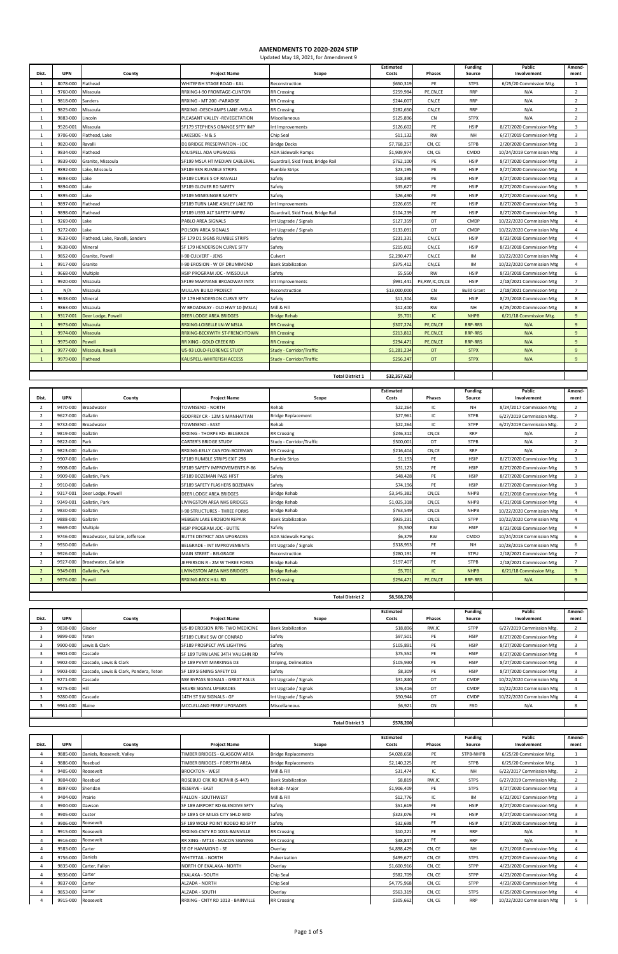| Dist.          | <b>UPN</b> | County                           | <b>Project Name</b>               | Scope                              | <b>Estimated</b><br>Costs | <b>Phases</b>  | <b>Funding</b><br>Source | <b>Public</b><br>Involvement | Amend-<br>ment          |
|----------------|------------|----------------------------------|-----------------------------------|------------------------------------|---------------------------|----------------|--------------------------|------------------------------|-------------------------|
| -1             | 8078-000   | Flathead                         | WHITEFISH STAGE ROAD - KAL        | Reconstruction                     | \$650,319                 | PE             | <b>STPS</b>              | 6/25/20 Commission Mtg.      | 1                       |
| $\mathbf{1}$   | 9760-000   | Missoula                         | RRXING-I-90 FRONTAGE-CLINTON      | <b>RR Crossing</b>                 | \$259,984                 | PE,CN,CE       | <b>RRP</b>               | N/A                          | 2                       |
| $\mathbf{1}$   | 9818-000   | Sanders                          | RRXING - MT 200 - PARADISE        | <b>RR Crossing</b>                 | \$244,007                 | CN,CE          | <b>RRP</b>               | N/A                          | 2                       |
| $\mathbf{1}$   | 9825-000   | Missoula                         | RRXING - DESCHAMPS LANE - MSLA    | <b>RR Crossing</b>                 | \$282,650                 | CN,CE          | <b>RRP</b>               | N/A                          | 2                       |
| $\mathbf{1}$   | 9883-000   | Lincoln                          | PLEASANT VALLEY -REVEGETATION     | Miscellaneous                      | \$125,896                 | CN             | <b>STPX</b>              | N/A                          | $\overline{2}$          |
| $\mathbf{1}$   | 9526-001   | Missoula                         | SF179 STEPHENS ORANGE SFTY IMP    | Int Improvements                   | \$126,602                 | PE             | <b>HSIP</b>              | 8/27/2020 Commission Mtg     | $\overline{3}$          |
| $\mathbf{1}$   | 9706-000   | Flathead, Lake                   | LAKESIDE - N & S                  | Chip Seal                          | \$11,132                  | RW             | <b>NH</b>                | 6/27/2019 Commission Mtg     | $\overline{3}$          |
| $\overline{1}$ | 9820-000   | Ravalli                          | D1 BRIDGE PRESERVATION - JOC      | <b>Bridge Decks</b>                | \$7,768,257               | CN, CE         | <b>STPB</b>              | 2/20/2020 Commission Mtg     | $\overline{3}$          |
| $\mathbf{1}$   | 9834-000   | Flathead                         | KALISPELL ADA UPGRADES            | ADA Sidewalk Ramps                 | \$1,939,974               | CN, CE         | <b>CMDO</b>              | 10/24/2019 Commission Mtg    | $\overline{3}$          |
| $\mathbf{1}$   | 9839-000   | Granite, Missoula                | SF199 MSLA HT MEDIAN CABLERAIL    | Guardrail, Skid Treat, Bridge Rail | \$762,100                 | PE             | <b>HSIP</b>              | 8/27/2020 Commission Mtg     | $\overline{\mathbf{3}}$ |
| $\mathbf{1}$   | 9892-000   | Lake, Missoula                   | SF189 93N RUMBLE STRIPS           | Rumble Strips                      | \$23,195                  | PE             | <b>HSIP</b>              | 8/27/2020 Commission Mtg     | $\overline{\mathbf{3}}$ |
| $\overline{1}$ | 9893-000   | Lake                             | SF189 CURVE S OF RAVALLI          | Safety                             | \$18,390                  | PE             | <b>HSIP</b>              | 8/27/2020 Commission Mtg     | $\overline{3}$          |
| $\mathbf{1}$   | 9894-000   | Lake                             | SF189 GLOVER RD SAFETY            | Safety                             | \$35,627                  | PE             | <b>HSIP</b>              | 8/27/2020 Commission Mtg     | $\overline{\mathbf{3}}$ |
| -1             | 9895-000   | Lake                             | SF189 MINESINGER SAFETY           | Safety                             | \$26,490                  | PE             | <b>HSIP</b>              | 8/27/2020 Commission Mtg     | $\overline{\mathbf{3}}$ |
| $\mathbf{1}$   | 9897-000   | Flathead                         | SF189 TURN LANE ASHLEY LAKE RD    | Int Improvements                   | \$226,655                 | PE             | <b>HSIP</b>              | 8/27/2020 Commission Mtg     | $\overline{3}$          |
| 1              | 9898-000   | Flathead                         | SF189 US93 ALT SAFETY IMPRV       | Guardrail, Skid Treat, Bridge Rail | \$104,239                 | PE             | <b>HSIP</b>              | 8/27/2020 Commission Mtg     | $\overline{\mathbf{3}}$ |
| $\mathbf{1}$   | 9269-000   | Lake                             | PABLO AREA SIGNALS                | Int Upgrade / Signals              | \$127,359                 | OT             | <b>CMDP</b>              | 10/22/2020 Commission Mtg    | $\overline{4}$          |
| 1              | 9272-000   | Lake                             | POLSON AREA SIGNALS               | Int Upgrade / Signals              | \$133,091                 | OT             | <b>CMDP</b>              | 10/22/2020 Commission Mtg    | $\overline{4}$          |
| 1              | 9633-000   | Flathead, Lake, Ravalli, Sanders | SF 179 D1 SIGNS RUMBLE STRIPS     | Safety                             | \$231,331                 | CN,CE          | <b>HSIP</b>              | 8/23/2018 Commission Mtg     | $\overline{4}$          |
| 1              | 9638-000   | Mineral                          | SF 179 HENDERSON CURVE SFTY       | Safety                             | \$215,002                 | CN,CE          | <b>HSIP</b>              | 8/23/2018 Commission Mtg     | $\overline{4}$          |
| 1              | 9852-000   | Granite, Powell                  | -90 CULVERT - JENS                | Culvert                            | \$2,290,477               | CN,CE          | IM                       | 10/22/2020 Commission Mtg    | $\overline{4}$          |
| $\mathbf{1}$   | 9917-000   | Granite                          | -90 EROSION - W OF DRUMMOND       | <b>Bank Stabilization</b>          | \$375,412                 | CN,CE          | IM                       | 10/22/2020 Commission Mtg    | $\overline{4}$          |
| 1              | 9668-000   | Multiple                         | HSIP PROGRAM JOC - MISSOULA       | Safety                             | \$5,550                   | RW             | <b>HSIP</b>              | 8/23/2018 Commission Mtg     | 6                       |
| 1              | 9920-000   | Missoula                         | SF199 MARYJANE BROADWAY INTX      | Int Improvements                   | \$991,441                 | PE,RW,IC,CN,CE | <b>HSIP</b>              | 2/18/2021 Commission Mtg     | $\overline{7}$          |
| 1              | N/A        | Missoula                         | MULLAN BUILD PROJECT              | Reconstruction                     | \$13,000,000              | CN             | <b>Build Grant</b>       | 2/18/2021 Commission Mtg     | $\overline{7}$          |
| $\mathbf{1}$   | 9638-000   | Mineral                          | SF 179 HENDERSON CURVE SFTY       | Safety                             | \$11,304                  | <b>RW</b>      | <b>HSIP</b>              | 8/23/2018 Commission Mtg     | 8                       |
| $\mathbf{1}$   | 9863-000   | Missoula                         | W BROADWAY - OLD HWY 10 (MSLA)    | Mill & Fill                        | \$12,400                  | <b>RW</b>      | <b>NH</b>                | 6/25/2020 Commission Mtg     | 8                       |
| $\mathbf{1}$   | 9317-001   | Deer Lodge, Powell               | <b>DEER LODGE AREA BRIDGES</b>    | <b>Bridge Rehab</b>                | \$5,701                   | IC             | <b>NHPB</b>              | 6/21/18 Commission Mtg.      | 9                       |
|                | 9973-000   | Missoula                         | <b>RRXING-LOISELLE LN-W MSLA</b>  | <b>RR Crossing</b>                 | \$307,274                 | PE,CN,CE       | <b>RRP-RRS</b>           | N/A                          | 9                       |
| $\mathbf{1}$   | 9974-000   | Missoula                         | RRXING-BECKWITH ST-FRENCHTOWN     | <b>RR Crossing</b>                 | \$213,812                 | PE,CN,CE       | <b>RRP-RRS</b>           | N/A                          | 9                       |
| $\mathbf{1}$   | 9975-000   | Powell                           | RR XING - GOLD CREEK RD           | <b>RR Crossing</b>                 | \$294,471                 | PE,CN,CE       | <b>RRP-RRS</b>           | N/A                          | 9                       |
| $\mathbf{1}$   | 9977-000   | Missoula, Ravalli                | US-93 LOLO-FLORENCE STUDY         | Study - Corridor/Traffic           | \$1,281,234               | <b>OT</b>      | <b>STPX</b>              | N/A                          | 9                       |
| $\mathbf{1}$   | 9979-000   | <b>Flathead</b>                  | <b>KALISPELL-WHITEFISH ACCESS</b> | Study - Corridor/Traffic           | \$256,247                 | <b>OT</b>      | <b>STPX</b>              | N/A                          | 9                       |
|                |            |                                  |                                   |                                    |                           |                |                          |                              |                         |
|                |            |                                  |                                   | <b>Total District 1</b>            | \$32,357,623              |                |                          |                              |                         |

|                          |            |                                 |                                      |                           | <b>Estimated</b> |               | <b>Funding</b> | <b>Public</b>             | Amend-         |
|--------------------------|------------|---------------------------------|--------------------------------------|---------------------------|------------------|---------------|----------------|---------------------------|----------------|
| Dist.                    | <b>UPN</b> | County                          | <b>Project Name</b>                  | Scope                     | Costs            | <b>Phases</b> | Source         | Involvement               | ment           |
| $\overline{2}$           | 9470-000   | Broadwater                      | <b>TOWNSEND - NORTH</b>              | Rehab                     | \$22,264         | IC            | <b>NH</b>      | 8/24/2017 Commission Mtg  | $2^{\circ}$    |
|                          | 9627-000   | Gallatin                        | <b>GODFREY CR - 12M S MANHATTAN</b>  | <b>Bridge Replacement</b> | \$27,961         | IC            | <b>STPB</b>    | 6/27/2019 Commission Mtg. | $\overline{2}$ |
|                          | 9732-000   | Broadwater                      | <b>TOWNSEND - EAST</b>               | Rehab                     | \$22,264         | IC            | <b>STPP</b>    | 6/27/2019 Commission Mtg. | $\overline{2}$ |
| $\overline{2}$           | 9819-000   | Gallatin                        | RRXING - THORPE RD- BELGRADE         | <b>RR Crossing</b>        | \$246,312        | CN,CE         | <b>RRP</b>     | N/A                       | $\overline{2}$ |
|                          | 9822-000   | Park                            | <b>CARTER'S BRIDGE STUDY</b>         | Study - Corridor/Traffic  | \$500,001        | OT            | <b>STPB</b>    | N/A                       | $\overline{2}$ |
|                          | 9823-000   | Gallatin                        | RRXING-KELLY CANYON-BOZEMAN          | <b>RR Crossing</b>        | \$216,404        | CN,CE         | <b>RRP</b>     | N/A                       | $\overline{2}$ |
|                          | 9907-000   | Gallatin                        | SF189 RUMBLE STRIPS EXIT 298         | <b>Rumble Strips</b>      | \$1,193          | PE            | <b>HSIP</b>    | 8/27/2020 Commission Mtg  | 3              |
| $\overline{2}$           | 9908-000   | Gallatin                        | SF189 SAFETY IMPROVEMENTS P-86       | Safety                    | \$31,123         | PE            | <b>HSIP</b>    | 8/27/2020 Commission Mtg  | 3              |
|                          | 9909-000   | Gallatin, Park                  | SF189 BOZEMAN PASS HFST              | Safety                    | \$48,428         | PE            | <b>HSIP</b>    | 8/27/2020 Commission Mtg  | 3              |
| $\overline{2}$           | 9910-000   | Gallatin                        | SF189 SAFETY FLASHERS BOZEMAN        | Safety                    | \$74,196         | PE            | <b>HSIP</b>    | 8/27/2020 Commission Mtg  | $\overline{3}$ |
|                          | 9317-001   | Deer Lodge, Powell              | <b>DEER LODGE AREA BRIDGES</b>       | <b>Bridge Rehab</b>       | \$3,545,382      | CN,CE         | <b>NHPB</b>    | 6/21/2018 Commission Mtg  | 4              |
| $\overline{\phantom{a}}$ | 9349-001   | Gallatin, Park                  | <b>LIVINGSTON AREA NHS BRIDGES</b>   | <b>Bridge Rehab</b>       | \$1,025,318      | CN,CE         | <b>NHPB</b>    | 6/21/2018 Commission Mtg  | 4              |
|                          | 9830-000   | Gallatin                        | <b>I-90 STRUCTURES - THREE FORKS</b> | <b>Bridge Rehab</b>       | \$763,549        | CN,CE         | <b>NHPB</b>    | 10/22/2020 Commission Mtg | 4              |
|                          | 9888-000   | Gallatin                        | <b>HEBGEN LAKE EROSION REPAIR</b>    | <b>Bank Stabilization</b> | \$935,231        | CN,CE         | <b>STPP</b>    | 10/22/2020 Commission Mtg | 4              |
|                          | 9669-000   | Multiple                        | <b>HSIP PROGRAM JOC - BUTTE</b>      | Safety                    | \$5,550          | <b>RW</b>     | <b>HSIP</b>    | 8/23/2018 Commission Mtg  | 6              |
|                          | 9746-000   | Broadwater, Gallatin, Jefferson | <b>BUTTE DISTRICT ADA UPGRADES</b>   | <b>ADA Sidewalk Ramps</b> | \$6,379          | <b>RW</b>     | CMDO           | 10/24/2018 Commission Mtg | 6              |
|                          | 9930-000   | Gallatin                        | <b>BELGRADE - INT IMPROVEMENTS</b>   | Int Upgrade / Signals     | \$318,953        | PE            | <b>NH</b>      | 10/28/2015 Commission Mtg | 6              |
| $\overline{2}$           | 9926-000   | Gallatin                        | MAIN STREET - BELGRADE               | Reconstruction            | \$280,191        | PE            | <b>STPU</b>    | 2/18/2021 Commission Mtg  | $\overline{7}$ |
|                          | 9927-000   | Broadwater, Gallatin            | JEFFERSON R - 2M W THREE FORKS       | <b>Bridge Rehab</b>       | \$197,407        | PE            | <b>STPB</b>    | 2/18/2021 Commission Mtg  | $\overline{7}$ |
| $\overline{2}$           | 9349-001   | Gallatin, Park                  | <b>LIVINGSTON AREA NHS BRIDGES</b>   | <b>Bridge Rehab</b>       | \$5,701          | IC.           | <b>NHPB</b>    | 6/21/18 Commission Mtg.   | 9              |
| $\overline{2}$           | 9976-000   | Powell                          | <b>RRXING-BECK HILL RD</b>           | <b>RR Crossing</b>        | \$294,471        | PE,CN,CE      | <b>RRP-RRS</b> | N/A                       | 9              |
|                          |            |                                 |                                      |                           |                  |               |                |                           |                |
|                          |            |                                 |                                      | \$8,568,278               |                  |               |                |                           |                |

|       |                  |                                        |                                 |                           | <b>Estimated</b> |               | <b>Funding</b> | Public                    | Amend- |
|-------|------------------|----------------------------------------|---------------------------------|---------------------------|------------------|---------------|----------------|---------------------------|--------|
| Dist. | <b>UPN</b>       | County                                 | <b>Project Name</b>             | Scope                     | Costs            | <b>Phases</b> | Source         | Involvement               | ment   |
|       | 9838-000         | Glacier                                | US-89 EROSION RPR- TWO MEDICINE | <b>Bank Stabilization</b> | \$18,896         | RW,IC         | <b>STPP</b>    | 6/27/2019 Commission Mtg. |        |
|       | 9899-000 Teton   |                                        | SF189 CURVE SW OF CONRAD        | Safety                    | \$97,501         | PE            | <b>HSIP</b>    | 8/27/2020 Commission Mtg  |        |
|       | 9900-000         | Lewis & Clark                          | SF189 PROSPECT AVE LIGHTING     | Safety                    | \$105,891        | PE            | <b>HSIP</b>    | 8/27/2020 Commission Mtg  |        |
|       | 9901-000         | Cascade                                | SF 189 TURN LANE 34TH VAUGHN RD | Safety                    | \$75,552         | PE            | <b>HSIP</b>    | 8/27/2020 Commission Mtg  |        |
|       | 9902-000         | Cascade, Lewis & Clark                 | SF 189 PVMT MARKINGS D3         | Striping, Delineation     | \$105,930        | PE            | <b>HSIP</b>    | 8/27/2020 Commission Mtg  |        |
|       | 9903-000         | Cascade, Lewis & Clark, Pondera, Teton | <b>SF 189 SIGNING SAFETY D3</b> | Safety                    | \$8,309          | PE            | <b>HSIP</b>    | 8/27/2020 Commission Mtg  |        |
|       | 9271-000 Cascade |                                        | NW BYPASS SIGNALS - GREAT FALLS | Int Upgrade / Signals     | \$31,840         | OT            | <b>CMDP</b>    | 10/22/2020 Commission Mtg |        |
|       | 9275-000 Hill    |                                        | <b>HAVRE SIGNAL UPGRADES</b>    | Int Upgrade / Signals     | \$76,416         | OT            | CMDP           | 10/22/2020 Commission Mtg |        |
|       | 9280-000 Cascade |                                        | 14TH ST SW SIGNALS - GF         | Int Upgrade / Signals     | \$50,944         | OT            | CMDP           | 10/22/2020 Commission Mtg |        |

| Dist. | <b>UPN</b>         | County                     | <b>Project Name</b>                   | Scope                      | <b>Estimated</b><br>Costs | <b>Phases</b> | <b>Funding</b><br>Source | Public<br>Involvement     | Amend-<br>ment |
|-------|--------------------|----------------------------|---------------------------------------|----------------------------|---------------------------|---------------|--------------------------|---------------------------|----------------|
|       | 9885-000           | Daniels, Roosevelt, Valley | TIMBER BRIDGES - GLASGOW AREA         | <b>Bridge Replacements</b> | \$4,028,658               | PE            | STPB-NHPB                | 6/25/20 Commission Mtg.   |                |
|       | 9886-000           | Rosebud                    | <b>TIMBER BRIDGES - FORSYTH AREA</b>  | <b>Bridge Replacements</b> | \$2,140,225               | PE            | <b>STPB</b>              | 6/25/20 Commission Mtg.   |                |
|       | 9405-000           | Roosevelt                  | <b>BROCKTON - WEST</b>                | Mill & Fill                | \$31,474                  | IC            | <b>NH</b>                | 6/22/2017 Commission Mtg. | $\overline{2}$ |
|       | 9804-000           | Rosebud                    | ROSEBUD CRK RD REPAIR (S-447)         | <b>Bank Stabilization</b>  | \$8,819                   | RW,IC         | <b>STPS</b>              | 6/27/2019 Commission Mtg. | 2              |
|       | 8897-000           | Sheridan                   | <b>RESERVE - EAST</b>                 | Rehab-Major                | \$1,906,409               | PE            | <b>STPS</b>              | 8/27/2020 Commission Mtg  | 3              |
|       | 9404-000           | Prairie                    | <b>FALLON - SOUTHWEST</b>             | Mill & Fill                | \$12,776                  | IC            | IM                       | 6/22/2017 Commission Mtg  | 3              |
|       | 9904-000           | Dawson                     | SF 189 AIRPORT RD GLENDIVE SFTY       | Safety                     | \$51,619                  | PE            | <b>HSIP</b>              | 8/27/2020 Commission Mtg  | 3              |
|       | 9905-000           | Custer                     | SF 189 S OF MILES CITY SHLD WID       | Safety                     | \$323,076                 | PE            | <b>HSIP</b>              | 8/27/2020 Commission Mtg  | 3              |
|       | 9906-000           | Roosevelt                  | SF 189 WOLF POINT RODEO RD SFTY       | Safety                     | \$32,698                  | PE            | <b>HSIP</b>              | 8/27/2020 Commission Mtg  | 3              |
|       | 9915-000           | Roosevelt                  | RRXING-CNTY RD 1013-BAINVILLE         | <b>RR Crossing</b>         | \$10,221                  | PE            | <b>RRP</b>               | N/A                       | 3              |
|       | 9916-000           | Roosevelt                  | <b>RR XING - MT13 - MACON SIGNING</b> | <b>RR Crossing</b>         | \$38,847                  | PE            | <b>RRP</b>               | N/A                       | 3              |
|       | 9583-000           | Carter                     | SE OF HAMMOND - SE                    | Overlay                    | \$4,898,429               | CN, CE        | <b>NH</b>                | 6/21/2018 Commission Mtg  |                |
|       | 9756-000           | Daniels                    | <b>WHITETAIL - NORTH</b>              | Pulverization              | \$499,677                 | CN, CE        | <b>STPS</b>              | 6/27/2019 Commission Mtg  | $\Delta$       |
|       | 9835-000           | Carter, Fallon             | NORTH OF EKALAKA - NORTH              | Overlay                    | \$1,600,916               | CN, CE        | <b>STPP</b>              | 4/23/2020 Commission Mtg  | $\overline{a}$ |
|       | 9836-000           | Carter                     | <b>EKALAKA - SOUTH</b>                | Chip Seal                  | \$582,709                 | CN, CE        | <b>STPP</b>              | 4/23/2020 Commission Mtg  |                |
|       | 9837-000           | Carter                     | <b>ALZADA - NORTH</b>                 | Chip Seal                  | \$4,775,968               | CN, CE        | <b>STPP</b>              | 4/23/2020 Commission Mtg  |                |
|       | 9853-000 Carter    |                            | ALZADA - SOUTH                        | Overlay                    | \$563,319                 | CN, CE        | <b>STPS</b>              | 6/25/2020 Commission Mtg  |                |
|       | 9915-000 Roosevelt |                            | RRXING - CNTY RD 1013 - BAINVILLE     | <b>RR Crossing</b>         | \$305,662                 | CN, CE        | <b>RRP</b>               | 10/22/2020 Commission Mtg | 5              |

|  | 9961-000<br><b>3301-000</b> | Blaine | MCCLELLAND FERRY UPGRADES | Miscellaneous           | \$6,921   | $\sim$ | FBD | N/A |  |
|--|-----------------------------|--------|---------------------------|-------------------------|-----------|--------|-----|-----|--|
|  |                             |        |                           |                         |           |        |     |     |  |
|  |                             |        |                           | <b>Total District 3</b> | \$578,200 |        |     |     |  |

## **AMENDMENTS TO 2020-2024 STIP**

| Updated May 18, 2021, for Amendment 9 |  |
|---------------------------------------|--|
|---------------------------------------|--|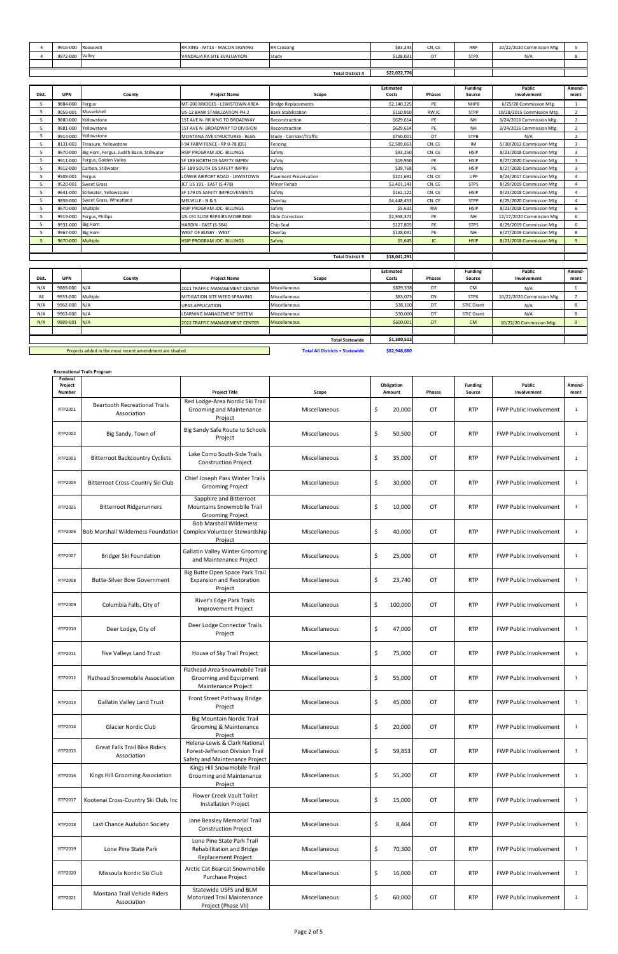| 9916-000        | Roosevelt | RR XING - MT13 - MACON SIGNING | <b>RR Crossing</b>      | \$83,243     | CN, CE | <b>RRP</b>  | 10/22/2020 Commission Mtg |  |
|-----------------|-----------|--------------------------------|-------------------------|--------------|--------|-------------|---------------------------|--|
| 9972-000 Valley |           | VANDALIA RA SITE EVALUATION    | Study                   | \$128,031    | ОT     | <b>STPX</b> | N/A                       |  |
|                 |           |                                |                         |              |        |             |                           |  |
|                 |           |                                | <b>Total District 4</b> | \$22,022,776 |        |             |                           |  |

**Recreational Trails Program**

| Dist. | <b>UPN</b>              | County                                     | <b>Project Name</b>               | Scope                        | <b>Estimated</b><br>Costs | <b>Phases</b> | <b>Funding</b><br>Source | <b>Public</b><br>Involvement | Amend-<br>ment |
|-------|-------------------------|--------------------------------------------|-----------------------------------|------------------------------|---------------------------|---------------|--------------------------|------------------------------|----------------|
|       | 9884-000                | Fergus                                     | MT-200 BRIDGES - LEWISTOWN AREA   | <b>Bridge Replacements</b>   | \$2,140,225               | PE            | <b>NHPB</b>              | 6/25/20 Commission Mtg.      |                |
|       | 9059-001                | Musselshell                                | US-12 BANK STABILIZATION-PH 2     | <b>Bank Stabilization</b>    | \$110,910                 | RW,IC         | <b>STPP</b>              | 10/28/2015 Commission Mtg.   | 2              |
|       | 9880-000                | Yellowstone                                | 1ST AVE N- RR XING TO BROADWAY    | Reconstruction               | \$629,614                 | PE            | <b>NH</b>                | 3/24/2016 Commission Mtg.    | $\overline{2}$ |
|       |                         |                                            |                                   |                              |                           |               |                          |                              |                |
|       | 9881-000                | Yellowstone                                | 1ST AVE N- BROADWAY TO DIVISION   | Reconstruction               | \$629,614                 | PE            | <b>NH</b>                | 3/24/2016 Commission Mtg.    | 2              |
|       | 9914-000                | Yellowstone                                | MONTANA AVE STRUCTURES - BLGS     | Study - Corridor/Traffic     | \$750,001                 | OT            | <b>STPB</b>              | N/A                          | $\overline{2}$ |
|       | 8131-003                | Treasure, Yellowstone                      | I-94 FARM FENCE - RP 0-78 (D5)    | Fencing                      | \$2,589,063               | CN, CE        | IM                       | 5/30/2013 Commission Mtg     | 3              |
|       | 9670-000                | Big Horn, Fergus, Judith Basin, Stillwater | <b>HSIP PROGRAM JOC- BILLINGS</b> | Safety                       | \$93,250                  | CN. CE        | <b>HSIP</b>              | 8/23/2018 Commission Mtg     | 3              |
|       | 9911-000                | Fergus, Golden Valley                      | SF 189 NORTH D5 SAFETY IMPRV      | Safety                       | \$19,950                  | PE            | <b>HSIP</b>              | 8/27/2020 Commission Mtg     | 3              |
|       | 9912-000                | Carbon, Stillwater                         | SF 189 SOUTH D5 SAFETY IMPRV      | Safety                       | \$39,768                  | PE            | <b>HSIP</b>              | 8/27/2020 Commission Mtg     | $\overline{3}$ |
|       | 9508-001                | Fergus                                     | LOWER AIRPORT ROAD - LEWISTOWN    | <b>Pavement Preservation</b> | \$201,692                 | CN. CE        | UPP                      | 8/24/2017 Commission Mtg     | $\Delta$       |
|       | 9520-001                | Sweet Grass                                | JCT US 191 - EAST (S-478)         | Minor Rehab                  | \$3,401,143               | CN. CE        | <b>STPS</b>              | 8/29/2019 Commission Mtg     | 4              |
|       | 9641-000                | Stillwater, Yellowstone                    | SF 179 D5 SAFETY IMPROVEMENTS     | Safety                       | \$162,122                 | CN. CE        | <b>HSIP</b>              | 8/23/2018 Commission Mtg     | 4              |
|       | 9858-000                | Sweet Grass, Wheatland                     | MELVILLE - N & S                  | Overlay                      | \$4,448,453               | CN. CE        | <b>STPP</b>              | 6/25/2020 Commission Mtg     | 4              |
|       | 9670-000                | Multiple                                   | <b>HSIP PROGRAM JOC- BILLINGS</b> | Safety                       | \$5,632                   | RW            | <b>HSIP</b>              | 8/23/2018 Commission Mtg     | 6              |
|       | 9919-000                | Fergus, Phillips                           | US-191 SLIDE REPAIRS-MOBRIDGE     | Slide Correction             | \$2,558,373               | PE            | <b>NH</b>                | 12/17/2020 Commission Mtg    | 6              |
|       | 9931-000                | <b>Big Horn</b>                            | HARDIN - EAST (S-384)             | Chip Seal                    | \$127,805                 | PE            | <b>STPS</b>              | 8/29/2019 Commission Mtg     | 6              |
|       | 9967-000                | <b>Big Horn</b>                            | WEST OF BUSBY - WEST              | Overlay                      | \$128,031                 | PE            | <b>NH</b>                | 6/27/2019 Commission Mtg     | 8              |
|       | 9670-000                | <b>Multiple</b>                            | <b>HSIP PROGRAM JOC- BILLINGS</b> | <b>Safety</b>                | \$5,645                   | IC.           | <b>HSIP</b>              | 8/23/2018 Commission Mtg     | 9              |
|       |                         |                                            |                                   |                              |                           |               |                          |                              |                |
|       | <b>Total District 5</b> |                                            |                                   |                              |                           |               |                          |                              |                |

| Dist. | <b>UPN</b>                                              | County   | <b>Project Name</b>                   | Scope                                  | <b>Estimated</b><br>Costs | <b>Phases</b> | <b>Funding</b><br>Source | Public<br>Involvement     | Amend-<br>ment |
|-------|---------------------------------------------------------|----------|---------------------------------------|----------------------------------------|---------------------------|---------------|--------------------------|---------------------------|----------------|
| N/A   | 9889-000 N/A                                            |          | 2021 TRAFFIC MANAGEMENT CENTER        | Miscellaneous                          | \$629,338                 | OT            | CM                       | N/A                       |                |
| All   | 9933-000                                                | Multiple | MITIGATION SITE WEED SPRAYING         | Miscellaneous                          | \$83,073                  | CN            | <b>STPX</b>              | 10/22/2020 Commission Mtg |                |
| N/A   | 9962-000 N/A                                            |          | <b>UPAS APPLICATION</b>               | Miscellaneous                          | \$38,100                  | ОT            | <b>STIC Grant</b>        | N/A                       |                |
| N/A   | 9963-000 N/A                                            |          | <b>LEARNING MANAGEMENT SYSTEM</b>     | Miscellaneous                          | \$30,000                  | OT            | <b>STIC Grant</b>        | N/A                       |                |
| N/A   | 9889-001 N/A                                            |          | <b>2022 TRAFFIC MANAGEMENT CENTER</b> | Miscellaneous                          | \$600,001                 | <b>OT</b>     | <b>CM</b>                | 10/22/20 Commission Mtg.  |                |
|       |                                                         |          |                                       |                                        |                           |               |                          |                           |                |
|       | <b>Total Statewide</b>                                  |          |                                       |                                        | \$1,380,512               |               |                          |                           |                |
|       | Projects added in the most recent amendment are shaded. |          |                                       | <b>Total All Districts + Statewide</b> | \$82,948,680              |               |                          |                           |                |

| Federal<br>Project<br><b>Number</b> |                                                     | <b>Project Title</b>                                                                               | Scope         | Obligation<br>Amount | Phases    | <b>Funding</b><br>Source | Public<br>Involvement         | Amend-<br>ment |
|-------------------------------------|-----------------------------------------------------|----------------------------------------------------------------------------------------------------|---------------|----------------------|-----------|--------------------------|-------------------------------|----------------|
| RTP2001                             | <b>Beartooth Recreational Trails</b><br>Association | Red Lodge-Area Nordic Ski Trail<br>Grooming and Maintenance<br>Project                             | Miscellaneous | \$<br>20,000         | OT        | <b>RTP</b>               | <b>FWP Public Involvement</b> | $\mathbf{1}$   |
| RTP2002                             | Big Sandy, Town of                                  | Big Sandy Safe Route to Schools<br>Project                                                         | Miscellaneous | \$<br>50,500         | OT        | <b>RTP</b>               | <b>FWP Public Involvement</b> | $\mathbf{1}$   |
| RTP2003                             | <b>Bitterroot Backcountry Cyclists</b>              | Lake Como South-Side Trails<br><b>Construction Project</b>                                         | Miscellaneous | \$<br>35,000         | OT        | <b>RTP</b>               | <b>FWP Public Involvement</b> | $\mathbf{1}$   |
| RTP2004                             | Bitterroot Cross-Country Ski Club                   | Chief Joseph Pass Winter Trails<br><b>Grooming Project</b>                                         | Miscellaneous | \$<br>30,000         | ОT        | <b>RTP</b>               | <b>FWP Public Involvement</b> | $\mathbf{1}$   |
| RTP2005                             | <b>Bitterroot Ridgerunners</b>                      | Sapphire and Bitterroot<br><b>Mountains Snowmobile Trail</b><br><b>Grooming Project</b>            | Miscellaneous | \$<br>10,000         | OT        | <b>RTP</b>               | <b>FWP Public Involvement</b> | $\mathbf{1}$   |
| RTP2006                             | <b>Bob Marshall Wilderness Foundation</b>           | <b>Bob Marshall Wilderness</b><br>Complex Volunteer Stewardship<br>Project                         | Miscellaneous | \$<br>40,000         | OT        | <b>RTP</b>               | <b>FWP Public Involvement</b> | $\mathbf{1}$   |
| RTP2007                             | <b>Bridger Ski Foundation</b>                       | <b>Gallatin Valley Winter Grooming</b><br>and Maintenance Project                                  | Miscellaneous | \$<br>25,000         | <b>OT</b> | <b>RTP</b>               | <b>FWP Public Involvement</b> | $\mathbf{1}$   |
| RTP2008                             | <b>Butte-Silver Bow Government</b>                  | Big Butte Open Space Park Trail<br><b>Expansion and Restoration</b><br>Project                     | Miscellaneous | \$<br>23,740         | <b>OT</b> | <b>RTP</b>               | <b>FWP Public Involvement</b> | $\mathbf{1}$   |
| RTP2009                             | Columbia Falls, City of                             | River's Edge Park Trails<br><b>Improvement Project</b>                                             | Miscellaneous | \$<br>100,000        | <b>OT</b> | <b>RTP</b>               | <b>FWP Public Involvement</b> | $\mathbf{1}$   |
| RTP2010                             | Deer Lodge, City of                                 | Deer Lodge Connector Trails<br>Project                                                             | Miscellaneous | \$<br>47,000         | <b>OT</b> | <b>RTP</b>               | <b>FWP Public Involvement</b> | $\mathbf{1}$   |
| RTP2011                             | Five Valleys Land Trust                             | House of Sky Trail Project                                                                         | Miscellaneous | \$<br>75,000         | ОT        | <b>RTP</b>               | <b>FWP Public Involvement</b> | $\mathbf{1}$   |
| RTP2012                             | <b>Flathead Snowmobile Association</b>              | Flathead-Area Snowmobile Trail<br>Grooming and Equipment<br>Maintenance Project                    | Miscellaneous | \$<br>55,000         | OT        | <b>RTP</b>               | <b>FWP Public Involvement</b> | $\mathbf{1}$   |
| RTP2013                             | <b>Gallatin Valley Land Trust</b>                   | Front Street Pathway Bridge<br>Project                                                             | Miscellaneous | \$<br>45,000         | ОT        | <b>RTP</b>               | <b>FWP Public Involvement</b> | $\mathbf{1}$   |
| RTP2014                             | Glacier Nordic Club                                 | <b>Big Mountain Nordic Trail</b><br>Grooming & Maintenance<br>Project                              | Miscellaneous | 20,000<br>Ş          | ОT        | <b>RTP</b>               | <b>FWP Public Involvement</b> | 1              |
| RTP2015                             | <b>Great Falls Trail Bike Riders</b><br>Association | Helena-Lewis & Clark National<br>Forest-Jefferson Division Trail<br>Safety and Maintenance Project | Miscellaneous | \$<br>59,853         | OT        | <b>RTP</b>               | FWP Public Involvement        | $\mathbf{1}$   |
| RTP2016                             | Kings Hill Grooming Association                     | Kings Hill Snowmobile Trail<br>Grooming and Maintenance<br>Project                                 | Miscellaneous | \$<br>55,200         | OT        | <b>RTP</b>               | <b>FWP Public Involvement</b> | $\mathbf{1}$   |
| RTP2017                             | Kootenai Cross-Country Ski Club, Inc                | Flower Creek Vault Toilet<br><b>Installation Project</b>                                           | Miscellaneous | \$<br>15,000         | OT        | <b>RTP</b>               | <b>FWP Public Involvement</b> | $\mathbf{1}$   |
| RTP2018                             | Last Chance Audubon Society                         | Jane Beasley Memorial Trail<br><b>Construction Project</b>                                         | Miscellaneous | \$<br>8,464          | OT        | <b>RTP</b>               | <b>FWP Public Involvement</b> | $\mathbf{1}$   |
| RTP2019                             | Lone Pine State Park                                | Lone Pine State Park Trail<br>Rehabilitation and Bridge<br>Replacement Project                     | Miscellaneous | \$<br>70,300         | OT        | <b>RTP</b>               | <b>FWP Public Involvement</b> | $\mathbf{1}$   |
| RTP2020                             | Missoula Nordic Ski Club                            | Arctic Cat Bearcat Snowmobile<br>Purchase Project                                                  | Miscellaneous | \$<br>16,000         | ОT        | <b>RTP</b>               | <b>FWP Public Involvement</b> | $\mathbf{1}$   |
| RTP2021                             | Montana Trail Vehicle Riders<br>Association         | Statewide USFS and BLM<br><b>Motorized Trail Maintenance</b><br>Project (Phase VII)                | Miscellaneous | \$<br>60,000         | OT        | <b>RTP</b>               | <b>FWP Public Involvement</b> | $\mathbf{1}$   |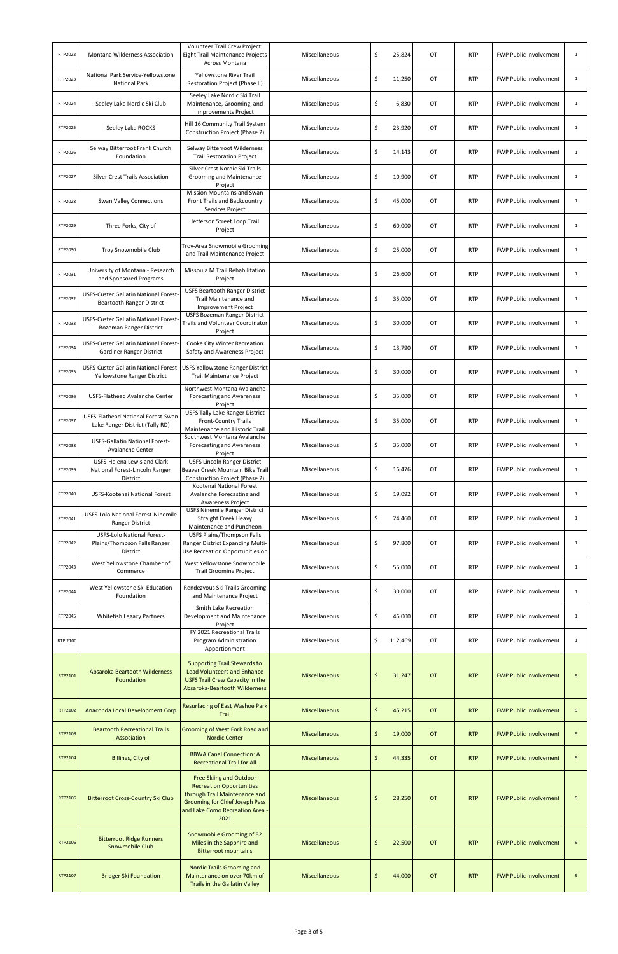| RTP2022  | Montana Wilderness Association                                                                        | Volunteer Trail Crew Project:<br>Eight Trail Maintenance Projects<br>Across Montana                                                                                                  | Miscellaneous        | \$<br>25,824            | OT          | <b>RTP</b> | <b>FWP Public Involvement</b> | $\mathbf{1}$     |
|----------|-------------------------------------------------------------------------------------------------------|--------------------------------------------------------------------------------------------------------------------------------------------------------------------------------------|----------------------|-------------------------|-------------|------------|-------------------------------|------------------|
| RTP2023  | National Park Service-Yellowstone<br><b>National Park</b>                                             | Yellowstone River Trail<br>Restoration Project (Phase II)                                                                                                                            | Miscellaneous        | \$<br>11,250            | OT          | <b>RTP</b> | <b>FWP Public Involvement</b> | 1                |
| RTP2024  | Seeley Lake Nordic Ski Club                                                                           | Seeley Lake Nordic Ski Trail<br>Maintenance, Grooming, and<br><b>Improvements Project</b>                                                                                            | Miscellaneous        | \$                      | OT<br>6,830 | <b>RTP</b> | <b>FWP Public Involvement</b> | $\mathbf{1}$     |
| RTP2025  | Seeley Lake ROCKS                                                                                     | Hill 16 Community Trail System<br>Construction Project (Phase 2)                                                                                                                     | Miscellaneous        | \$<br>23,920            | OT          | <b>RTP</b> | <b>FWP Public Involvement</b> | 1                |
| RTP2026  | Selway Bitterroot Frank Church<br>Foundation                                                          | Selway Bitterroot Wilderness<br><b>Trail Restoration Project</b>                                                                                                                     | Miscellaneous        | \$<br>14,143            | OT          | <b>RTP</b> | <b>FWP Public Involvement</b> | $\mathbf{1}$     |
| RTP2027  | <b>Silver Crest Trails Association</b>                                                                | Silver Crest Nordic Ski Trails<br>Grooming and Maintenance<br>Project                                                                                                                | Miscellaneous        | \$<br>10,900            | OT          | <b>RTP</b> | <b>FWP Public Involvement</b> | 1                |
| RTP2028  | <b>Swan Valley Connections</b>                                                                        | <b>Mission Mountains and Swan</b><br>Front Trails and Backcountry<br>Services Project                                                                                                | Miscellaneous        | \$<br>45,000            | OT          | <b>RTP</b> | <b>FWP Public Involvement</b> | 1                |
| RTP2029  | Three Forks, City of                                                                                  | Jefferson Street Loop Trail<br>Project                                                                                                                                               | Miscellaneous        | \$<br>60,000            | OT          | <b>RTP</b> | <b>FWP Public Involvement</b> | $\mathbf{1}$     |
| RTP2030  | Troy Snowmobile Club                                                                                  | Troy-Area Snowmobile Grooming<br>and Trail Maintenance Project                                                                                                                       | Miscellaneous        | \$<br>25,000            | OT          | <b>RTP</b> | <b>FWP Public Involvement</b> | $\mathbf{1}$     |
| RTP2031  | University of Montana - Research<br>and Sponsored Programs                                            | Missoula M Trail Rehabilitation<br>Project                                                                                                                                           | Miscellaneous        | \$<br>26,600            | OT          | <b>RTP</b> | <b>FWP Public Involvement</b> | $\mathbf{1}$     |
| RTP2032  | USFS-Custer Gallatin National Forest-<br>Beartooth Ranger District                                    | <b>USFS Beartooth Ranger District</b><br>Trail Maintenance and<br><b>Improvement Project</b>                                                                                         | Miscellaneous        | \$<br>35,000            | OT          | <b>RTP</b> | <b>FWP Public Involvement</b> | $\mathbf{1}$     |
| RTP2033  | USFS-Custer Gallatin National Forest-<br><b>Bozeman Ranger District</b>                               | <b>USFS Bozeman Ranger District</b><br>Trails and Volunteer Coordinator<br>Project                                                                                                   | Miscellaneous        | \$<br>30,000            | 0T          | <b>RTP</b> | <b>FWP Public Involvement</b> | $\mathbf{1}$     |
| RTP2034  | USFS-Custer Gallatin National Forest-<br><b>Gardiner Ranger District</b>                              | Cooke City Winter Recreation<br>Safety and Awareness Project                                                                                                                         | Miscellaneous        | \$<br>13,790            | 0T          | <b>RTP</b> | <b>FWP Public Involvement</b> | 1                |
| RTP2035  | USFS-Custer Gallatin National Forest- USFS Yellowstone Ranger District<br>Yellowstone Ranger District | <b>Trail Maintenance Project</b>                                                                                                                                                     | Miscellaneous        | \$<br>30,000            | OT          | <b>RTP</b> | <b>FWP Public Involvement</b> | $\mathbf{1}$     |
| RTP2036  | USFS-Flathead Avalanche Center                                                                        | Northwest Montana Avalanche<br><b>Forecasting and Awareness</b><br>Project                                                                                                           | Miscellaneous        | \$<br>35,000            | ОT          | <b>RTP</b> | <b>FWP Public Involvement</b> | 1                |
| RTP2037  | USFS-Flathead National Forest-Swan<br>Lake Ranger District (Tally RD)                                 | <b>USFS Tally Lake Ranger District</b><br><b>Front-Country Trails</b><br>Maintenance and Historic Trail                                                                              | Miscellaneous        | \$<br>35,000            | OT          | <b>RTP</b> | <b>FWP Public Involvement</b> | $\mathbf{1}$     |
| RTP2038  | USFS-Gallatin National Forest-<br>Avalanche Center                                                    | Southwest Montana Avalanche<br>Forecasting and Awareness<br>Project                                                                                                                  | Miscellaneous        | \$<br>35,000            | OT          | <b>RTP</b> | <b>FWP Public Involvement</b> | $\mathbf{1}$     |
| RTP2039  | <b>USFS-Helena Lewis and Clark</b><br>National Forest-Lincoln Ranger<br>District                      | <b>USFS Lincoln Ranger District</b><br>Beaver Creek Mountain Bike Trail<br>Construction Project (Phase 2)                                                                            | Miscellaneous        | \$<br>16,476            | OT          | <b>RTP</b> | <b>FWP Public Involvement</b> | $\mathbf{1}$     |
| RTP2040  | USFS-Kootenai National Forest                                                                         | Kootenai National Forest<br>Avalanche Forecasting and<br><b>Awareness Project</b>                                                                                                    | Miscellaneous        | \$<br>19,092            | OT          | <b>RTP</b> | <b>FWP Public Involvement</b> | $\mathbf{1}$     |
| RTP2041  | USFS-Lolo National Forest-Ninemile<br><b>Ranger District</b>                                          | <b>USFS Ninemile Ranger District</b><br><b>Straight Creek Heavy</b><br>Maintenance and Puncheon                                                                                      | Miscellaneous        | \$<br>24,460            | OT          | <b>RTP</b> | <b>FWP Public Involvement</b> | $\mathbf{1}$     |
| RTP2042  | <b>USFS-Lolo National Forest-</b><br>Plains/Thompson Falls Ranger<br>District                         | <b>USFS Plains/Thompson Falls</b><br>Ranger District Expanding Multi-<br>Use Recreation Opportunities on                                                                             | Miscellaneous        | \$<br>97,800            | OT          | <b>RTP</b> | <b>FWP Public Involvement</b> | $\mathbf{1}$     |
| RTP2043  | West Yellowstone Chamber of<br>Commerce                                                               | West Yellowstone Snowmobile<br><b>Trail Grooming Project</b>                                                                                                                         | Miscellaneous        | \$<br>55,000            | OT          | <b>RTP</b> | <b>FWP Public Involvement</b> | $\mathbf{1}$     |
| RTP2044  | West Yellowstone Ski Education<br>Foundation                                                          | Rendezvous Ski Trails Grooming<br>and Maintenance Project                                                                                                                            | Miscellaneous        | \$<br>30,000            | OT          | <b>RTP</b> | <b>FWP Public Involvement</b> | $\mathbf{1}$     |
| RTP2045  | <b>Whitefish Legacy Partners</b>                                                                      | Smith Lake Recreation<br>Development and Maintenance<br>Project                                                                                                                      | Miscellaneous        | \$<br>46,000            | OT          | <b>RTP</b> | <b>FWP Public Involvement</b> | $\mathbf{1}$     |
| RTP 2100 |                                                                                                       | FY 2021 Recreational Trails<br>Program Administration<br>Apportionment                                                                                                               | Miscellaneous        | \$<br>112,469           | OT          | <b>RTP</b> | <b>FWP Public Involvement</b> | $\mathbf{1}$     |
| RTP2101  | <b>Absaroka Beartooth Wilderness</b><br>Foundation                                                    | <b>Supporting Trail Stewards to</b><br><b>Lead Volunteers and Enhance</b><br><b>USFS Trail Crew Capacity in the</b><br><b>Absaroka-Beartooth Wilderness</b>                          | <b>Miscellaneous</b> | \$<br>31,247            | <b>OT</b>   | <b>RTP</b> | <b>FWP Public Involvement</b> | 9                |
| RTP2102  | Anaconda Local Development Corp                                                                       | <b>Resurfacing of East Washoe Park</b><br>Trail                                                                                                                                      | <b>Miscellaneous</b> | $\frac{1}{2}$<br>45,215 | <b>OT</b>   | <b>RTP</b> | <b>FWP Public Involvement</b> | 9                |
| RTP2103  | <b>Beartooth Recreational Trails</b><br>Association                                                   | <b>Grooming of West Fork Road and</b><br><b>Nordic Center</b>                                                                                                                        | <b>Miscellaneous</b> | $\zeta$<br>19,000       | OT          | <b>RTP</b> | <b>FWP Public Involvement</b> | 9                |
| RTP2104  | Billings, City of                                                                                     | <b>BBWA Canal Connection: A</b><br><b>Recreational Trail for All</b>                                                                                                                 | <b>Miscellaneous</b> | \$<br>44,335            | <b>OT</b>   | <b>RTP</b> | <b>FWP Public Involvement</b> | 9                |
| RTP2105  | <b>Bitterroot Cross-Country Ski Club</b>                                                              | <b>Free Skiing and Outdoor</b><br><b>Recreation Opportunities</b><br>through Trail Maintenance and<br><b>Grooming for Chief Joseph Pass</b><br>and Lake Como Recreation Area<br>2021 | <b>Miscellaneous</b> | \$<br>28,250            | <b>OT</b>   | <b>RTP</b> | <b>FWP Public Involvement</b> | 9                |
| RTP2106  | <b>Bitterroot Ridge Runners</b><br>Snowmobile Club                                                    | Snowmobile Grooming of 82<br>Miles in the Sapphire and<br><b>Bitterroot mountains</b>                                                                                                | <b>Miscellaneous</b> | \$<br>22,500            | <b>OT</b>   | <b>RTP</b> | <b>FWP Public Involvement</b> | $\boldsymbol{9}$ |
| RTP2107  | <b>Bridger Ski Foundation</b>                                                                         | <b>Nordic Trails Grooming and</b><br>Maintenance on over 70km of<br>Trails in the Gallatin Valley                                                                                    | <b>Miscellaneous</b> | \$<br>44,000            | <b>OT</b>   | <b>RTP</b> | <b>FWP Public Involvement</b> | 9                |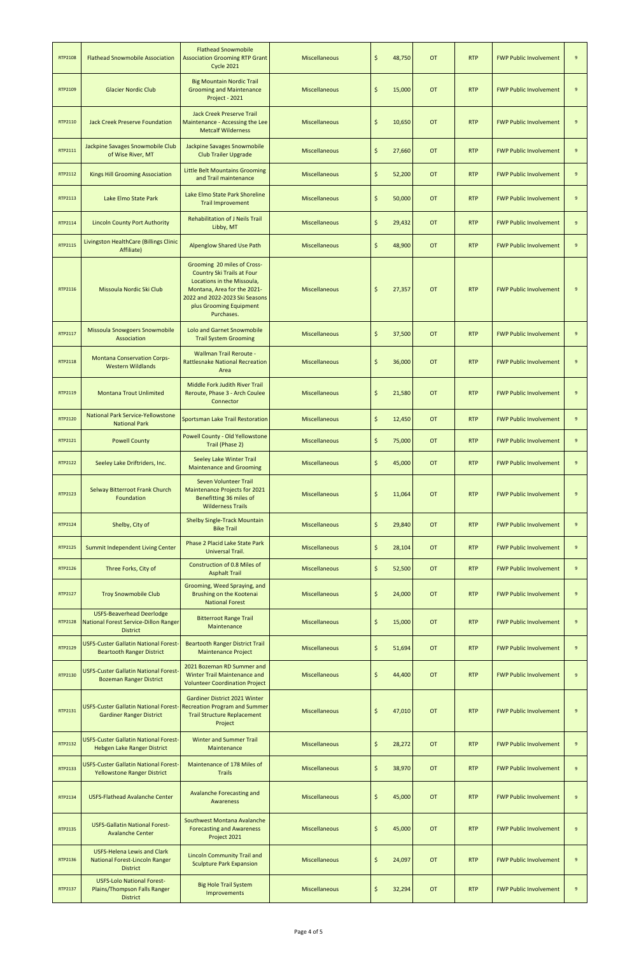| RTP2108        | <b>Flathead Snowmobile Association</b>                                                                 | <b>Flathead Snowmobile</b><br><b>Association Grooming RTP Grant</b><br><b>Cycle 2021</b>                                                                                                                 | <b>Miscellaneous</b> | \$            | 48,750 | <b>OT</b> | <b>RTP</b> | <b>FWP Public Involvement</b> | 9                |
|----------------|--------------------------------------------------------------------------------------------------------|----------------------------------------------------------------------------------------------------------------------------------------------------------------------------------------------------------|----------------------|---------------|--------|-----------|------------|-------------------------------|------------------|
| RTP2109        | <b>Glacier Nordic Club</b>                                                                             | <b>Big Mountain Nordic Trail</b><br><b>Grooming and Maintenance</b><br>Project - 2021                                                                                                                    | <b>Miscellaneous</b> | \$            | 15,000 | <b>OT</b> | <b>RTP</b> | <b>FWP Public Involvement</b> | 9                |
| RTP2110        | <b>Jack Creek Preserve Foundation</b>                                                                  | <b>Jack Creek Preserve Trail</b><br>Maintenance - Accessing the Lee<br><b>Metcalf Wilderness</b>                                                                                                         | <b>Miscellaneous</b> | \$            | 10,650 | <b>OT</b> | <b>RTP</b> | <b>FWP Public Involvement</b> | 9                |
| RTP2111        | Jackpine Savages Snowmobile Club<br>of Wise River, MT                                                  | Jackpine Savages Snowmobile<br><b>Club Trailer Upgrade</b>                                                                                                                                               | <b>Miscellaneous</b> | \$            | 27,660 | <b>OT</b> | <b>RTP</b> | <b>FWP Public Involvement</b> | 9                |
| RTP2112        | <b>Kings Hill Grooming Association</b>                                                                 | <b>Little Belt Mountains Grooming</b><br>and Trail maintenance                                                                                                                                           | <b>Miscellaneous</b> | $\frac{1}{2}$ | 52,200 | <b>OT</b> | <b>RTP</b> | <b>FWP Public Involvement</b> | 9                |
| RTP2113        | Lake Elmo State Park                                                                                   | Lake Elmo State Park Shoreline<br><b>Trail Improvement</b>                                                                                                                                               | <b>Miscellaneous</b> | \$            | 50,000 | <b>OT</b> | <b>RTP</b> | <b>FWP Public Involvement</b> | 9                |
| RTP2114        | <b>Lincoln County Port Authority</b>                                                                   | <b>Rehabilitation of J Neils Trail</b><br>Libby, MT                                                                                                                                                      | <b>Miscellaneous</b> | $\frac{1}{2}$ | 29,432 | <b>OT</b> | <b>RTP</b> | <b>FWP Public Involvement</b> | 9                |
| RTP2115        | Livingston HealthCare (Billings Clinic<br>Affiliate)                                                   | <b>Alpenglow Shared Use Path</b>                                                                                                                                                                         | <b>Miscellaneous</b> | \$            | 48,900 | <b>OT</b> | <b>RTP</b> | <b>FWP Public Involvement</b> | 9                |
| RTP2116        | Missoula Nordic Ski Club                                                                               | Grooming 20 miles of Cross-<br><b>Country Ski Trails at Four</b><br>Locations in the Missoula,<br>Montana, Area for the 2021-<br>2022 and 2022-2023 Ski Seasons<br>plus Grooming Equipment<br>Purchases. | <b>Miscellaneous</b> | \$            | 27,357 | <b>OT</b> | <b>RTP</b> | <b>FWP Public Involvement</b> | 9                |
| RTP2117        | <b>Missoula Snowgoers Snowmobile</b><br>Association                                                    | <b>Lolo and Garnet Snowmobile</b><br><b>Trail System Grooming</b>                                                                                                                                        | <b>Miscellaneous</b> | \$            | 37,500 | <b>OT</b> | <b>RTP</b> | <b>FWP Public Involvement</b> | 9                |
| RTP2118        | <b>Montana Conservation Corps-</b><br><b>Western Wildlands</b>                                         | <b>Wallman Trail Reroute -</b><br><b>Rattlesnake National Recreation</b><br>Area                                                                                                                         | <b>Miscellaneous</b> | \$            | 36,000 | <b>OT</b> | <b>RTP</b> | <b>FWP Public Involvement</b> | 9                |
| RTP2119        | <b>Montana Trout Unlimited</b>                                                                         | Middle Fork Judith River Trail<br>Reroute, Phase 3 - Arch Coulee<br>Connector                                                                                                                            | Miscellaneous        | Ś             | 21,580 | <b>OT</b> | <b>RTP</b> | <b>FWP Public Involvement</b> | 9                |
| RTP2120        | <b>National Park Service-Yellowstone</b><br><b>National Park</b>                                       | <b>Sportsman Lake Trail Restoration</b>                                                                                                                                                                  | <b>Miscellaneous</b> | \$            | 12,450 | <b>OT</b> | <b>RTP</b> | <b>FWP Public Involvement</b> | $\boldsymbol{9}$ |
| RTP2121        | <b>Powell County</b>                                                                                   | Powell County - Old Yellowstone<br>Trail (Phase 2)                                                                                                                                                       | <b>Miscellaneous</b> | \$            | 75,000 | <b>OT</b> | <b>RTP</b> | <b>FWP Public Involvement</b> | $\boldsymbol{9}$ |
| RTP2122        | Seeley Lake Driftriders, Inc.                                                                          | <b>Seeley Lake Winter Trail</b><br><b>Maintenance and Grooming</b>                                                                                                                                       | <b>Miscellaneous</b> | \$            | 45,000 | <b>OT</b> | <b>RTP</b> | <b>FWP Public Involvement</b> | $\boldsymbol{9}$ |
| RTP2123        | Selway Bitterroot Frank Church<br>Foundation                                                           | Seven Volunteer Trail<br><b>Maintenance Projects for 2021</b><br>Benefitting 36 miles of<br><b>Wilderness Trails</b>                                                                                     | <b>Miscellaneous</b> | \$            | 11,064 | <b>OT</b> | <b>RTP</b> | <b>FWP Public Involvement</b> | 9                |
| RTP2124        | Shelby, City of                                                                                        | <b>Shelby Single-Track Mountain</b><br><b>Bike Trail</b>                                                                                                                                                 | <b>Miscellaneous</b> | $\frac{1}{2}$ | 29,840 | <b>OT</b> | <b>RTP</b> | <b>FWP Public Involvement</b> | 9                |
| RTP2125        | Summit Independent Living Center                                                                       | <b>Phase 2 Placid Lake State Park</b><br>Universal Trail.                                                                                                                                                | <b>Miscellaneous</b> | \$            | 28,104 | <b>OT</b> | <b>RTP</b> | <b>FWP Public Involvement</b> | $\boldsymbol{9}$ |
| RTP2126        | Three Forks, City of                                                                                   | <b>Construction of 0.8 Miles of</b><br><b>Asphalt Trail</b>                                                                                                                                              | <b>Miscellaneous</b> | $\frac{1}{2}$ | 52,500 | <b>OT</b> | <b>RTP</b> | <b>FWP Public Involvement</b> | $\boldsymbol{9}$ |
| RTP2127        | <b>Troy Snowmobile Club</b>                                                                            | Grooming, Weed Spraying, and<br>Brushing on the Kootenai<br><b>National Forest</b>                                                                                                                       | <b>Miscellaneous</b> | \$            | 24,000 | <b>OT</b> | <b>RTP</b> | <b>FWP Public Involvement</b> | $\boldsymbol{9}$ |
| <b>RTP2128</b> | <b>USFS-Beaverhead Deerlodge</b><br>National Forest Service-Dillon Ranger<br><b>District</b>           | <b>Bitterroot Range Trail</b><br>Maintenance                                                                                                                                                             | <b>Miscellaneous</b> | \$            | 15,000 | <b>OT</b> | <b>RTP</b> | <b>FWP Public Involvement</b> | $\boldsymbol{9}$ |
| RTP2129        | <b>USFS-Custer Gallatin National Forest-</b><br><b>Beartooth Ranger District</b>                       | <b>Beartooth Ranger District Trail</b><br><b>Maintenance Project</b>                                                                                                                                     | <b>Miscellaneous</b> | \$            | 51,694 | <b>OT</b> | <b>RTP</b> | <b>FWP Public Involvement</b> | $\boldsymbol{9}$ |
| RTP2130        | <b>USFS-Custer Gallatin National Forest-</b><br><b>Bozeman Ranger District</b>                         | 2021 Bozeman RD Summer and<br><b>Winter Trail Maintenance and</b><br><b>Volunteer Coordination Project</b>                                                                                               | <b>Miscellaneous</b> | \$            | 44,400 | <b>OT</b> | <b>RTP</b> | <b>FWP Public Involvement</b> | $\boldsymbol{9}$ |
| RTP2131        | USFS-Custer Gallatin National Forest- Recreation Program and Summer<br><b>Gardiner Ranger District</b> | Gardiner District 2021 Winter<br><b>Trail Structure Replacement</b><br>Project                                                                                                                           | <b>Miscellaneous</b> | \$            | 47,010 | <b>OT</b> | <b>RTP</b> | <b>FWP Public Involvement</b> | 9                |
| RTP2132        | <b>USFS-Custer Gallatin National Forest-</b><br><b>Hebgen Lake Ranger District</b>                     | <b>Winter and Summer Trail</b><br>Maintenance                                                                                                                                                            | <b>Miscellaneous</b> | \$            | 28,272 | OT        | <b>RTP</b> | <b>FWP Public Involvement</b> | 9                |
| RTP2133        | <b>USFS-Custer Gallatin National Forest-</b><br><b>Yellowstone Ranger District</b>                     | Maintenance of 178 Miles of<br><b>Trails</b>                                                                                                                                                             | <b>Miscellaneous</b> | \$            | 38,970 | <b>OT</b> | <b>RTP</b> | <b>FWP Public Involvement</b> | $\boldsymbol{9}$ |
| RTP2134        | <b>USFS-Flathead Avalanche Center</b>                                                                  | Avalanche Forecasting and<br>Awareness                                                                                                                                                                   | <b>Miscellaneous</b> | \$            | 45,000 | <b>OT</b> | <b>RTP</b> | <b>FWP Public Involvement</b> | 9                |
| RTP2135        | <b>USFS-Gallatin National Forest-</b><br><b>Avalanche Center</b>                                       | Southwest Montana Avalanche<br><b>Forecasting and Awareness</b><br>Project 2021                                                                                                                          | <b>Miscellaneous</b> | \$            | 45,000 | <b>OT</b> | <b>RTP</b> | <b>FWP Public Involvement</b> | $\boldsymbol{9}$ |
| RTP2136        | <b>USFS-Helena Lewis and Clark</b><br><b>National Forest-Lincoln Ranger</b><br><b>District</b>         | <b>Lincoln Community Trail and</b><br><b>Sculpture Park Expansion</b>                                                                                                                                    | <b>Miscellaneous</b> | $\frac{1}{2}$ | 24,097 | <b>OT</b> | <b>RTP</b> | <b>FWP Public Involvement</b> | $\boldsymbol{9}$ |
| RTP2137        | <b>USFS-Lolo National Forest-</b><br>Plains/Thompson Falls Ranger<br><b>District</b>                   | <b>Big Hole Trail System</b><br><b>Improvements</b>                                                                                                                                                      | <b>Miscellaneous</b> | \$            | 32,294 | <b>OT</b> | <b>RTP</b> | <b>FWP Public Involvement</b> | $\boldsymbol{9}$ |